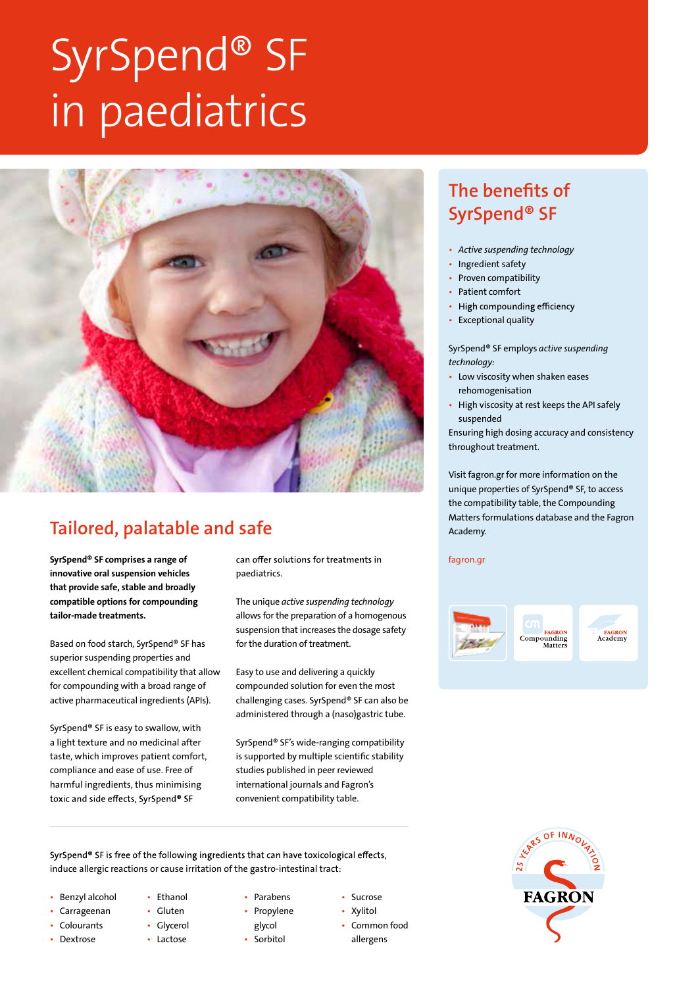# SyrSpend® SF in paediatrics



### Tailored, palatable and safe

SyrSpend® SF comprises a range of innovative oral suspension vehicles that provide safe, stable and broadly compatible options for compounding tailor-made treatments.

Based on food starch, SyrSpend® SF has superior suspending properties and excellent chemical compatibility that allow for compounding with a broad range of active pharmaceutical ingredients (APIs).

SyrSpend® SF is easy to swallow, with a light texture and no medicinal after taste, which improves patient comfort, compliance and ease of use. Free of harmful ingredients, thus minimising toxic and side effects, SyrSpend® SF

can offer solutions for treatments in paediatrics.

The unique *active suspending technology*  allows for the preparation of a homogenous suspension that increases the dosage safety for the duration of treatment.

Easy to use and delivering a quickly compounded solution for even the most challenging cases. SyrSpend® SF can also be administered through a (naso)gastric tube.

SyrSpend® SF's wide-ranging compatibility is supported by multiple scientific stability studies published in peer reviewed international journals and Fagron's convenient compatibility table.

SyrSpend® SF is free of the following ingredients that can have toxicological effects, induce allergic reactions or cause irritation of the gastro-intestinal tract:

- Benzyl alcohol
- Carrageenan
- **Colourants**
- Dextrose
- Ethanol • Gluten
- Glycerol
- Lactose
- Parabens • Propylene
- glycol
- Sorbitol
- Sucrose
- Xylitol • Common food
- allergens
- The benefits of SyrSpend® SF
- *Active suspending technology*
- Ingredient safety
- Proven compatibility
- Patient comfort
- High compounding efficiency
- Exceptional quality

SyrSpend® SF employs *active suspending technology:*

- Low viscosity when shaken eases rehomogenisation
- High viscosity at rest keeps the API safely suspended

Ensuring high dosing accuracy and consistency throughout treatment.

Visit fagron.gr for more information on the unique properties of SyrSpend® SF, to access the compatibility table, the Compounding Matters formulations database and the Fagron Academy.

**fagron.gr**